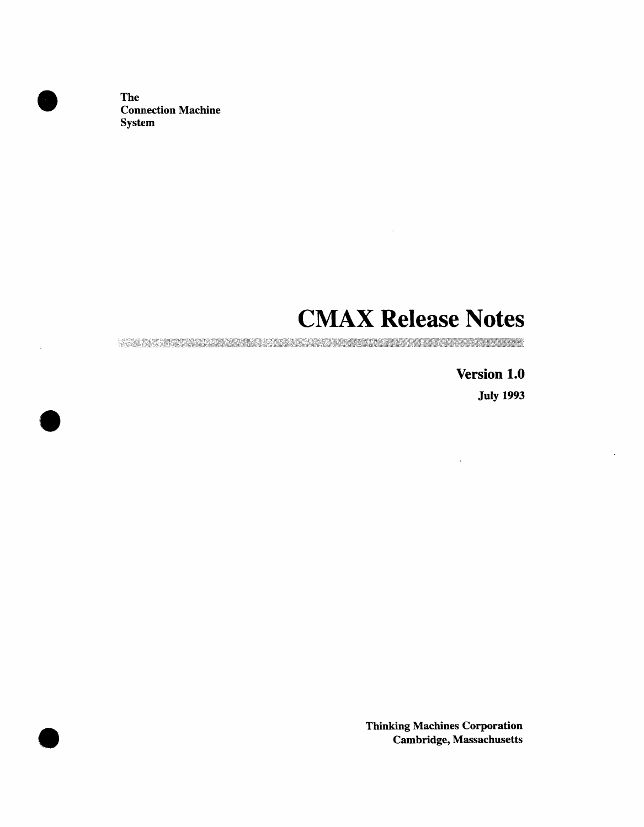The Connection Machine System

 $\bullet$ 

# **CMAX Release Notes**

A START OF THE CONTROL OF THE CONTROL OF THE CONTROL OF THE CONTROL OF THE CONTROL OF THE CONTROL OF THE CONTROL OF

Version 1.0 July 1993

 $\ddot{\phantom{0}}$ 

Thinking Machines Corporation **0** Cambridge, Massachusetts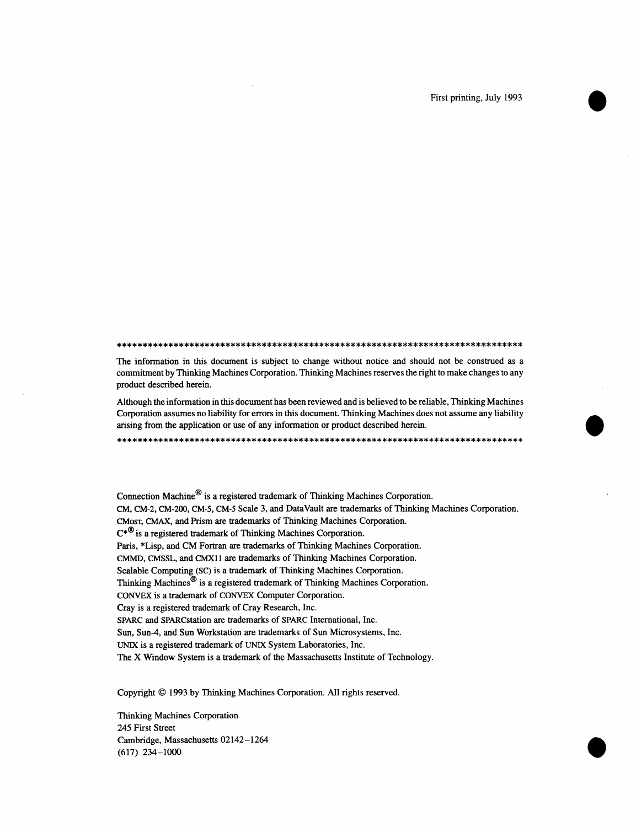The information in this document is subject to change without notice and should not be construed as a commitment by Thinking Machines Corporation. Thinking Machines reserves the right to make changes to any product described herein.

Although the information in this document has been reviewed and is believed to be reliable, Thinking Machines Corporation assumes no liability for errors in this document. Thinking Machines does not assume any liability arising from the application or use of any information or product described herein.

Connection Machine<sup>®</sup> is a registered trademark of Thinking Machines Corporation. CM, CM-2, CM-200, CM-5, CM-5 Scale 3, and DataVault are trademarks of Thinking Machines Corporation. CMOST, CMAX, and Prism are trademarks of Thinking Machines Corporation.  $C^*$ <sup>®</sup> is a registered trademark of Thinking Machines Corporation. Paris, \*Lisp, and CM Fortran are trademarks of Thinking Machines Corporation. CMMD, CMSSL, and CMX11 are trademarks of Thinking Machines Corporation. Scalable Computing (SC) is a trademark of Thinking Machines Corporation. Thinking Machines<sup>®</sup> is a registered trademark of Thinking Machines Corporation. CONVEX is a trademark of CONVEX Computer Corporation. Crav is a registered trademark of Cray Research, Inc. SPARC and SPARCstation are trademarks of SPARC International, Inc. Sun, Sun-4, and Sun Workstation are trademarks of Sun Microsystems, Inc. UNIX is a registered trademark of UNIX System Laboratories, Inc. The X Window System is a trademark of the Massachusetts Institute of Technology.

Copyright © 1993 by Thinking Machines Corporation. All rights reserved.

Thinking Machines Corporation 245 First Street Cambridge, Massachusetts 02142-1264  $(617)$  234-1000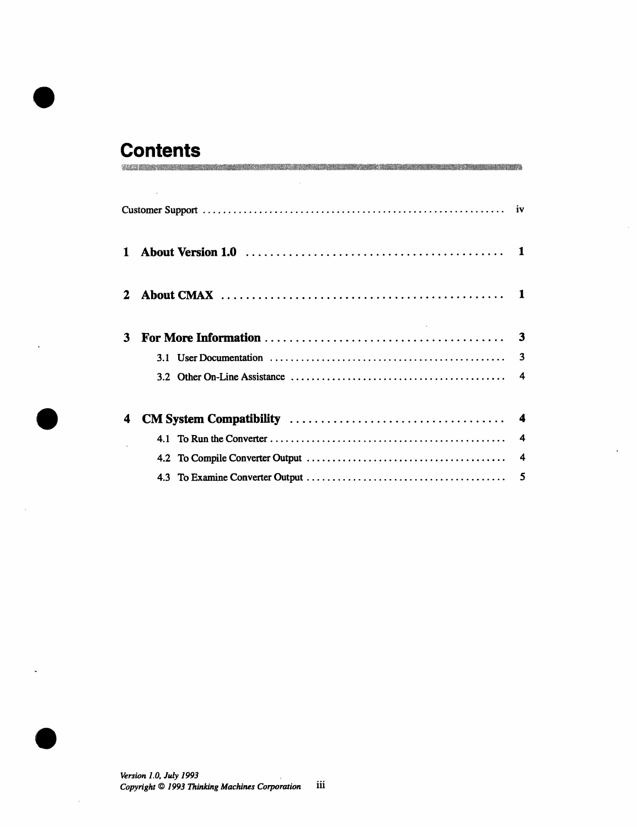### **Contents** VACE EXPRESSIVE PRODUCED AND DESCRIPTION OF THE CONTROL CONTROL INTO A REPORT OF THE CONTROL OF THE CONTROL OF

| 1 |  |                         |  |  |
|---|--|-------------------------|--|--|
|   |  |                         |  |  |
| 3 |  | 3                       |  |  |
|   |  |                         |  |  |
| 4 |  |                         |  |  |
|   |  | $\boldsymbol{4}$        |  |  |
|   |  | $\overline{\mathbf{4}}$ |  |  |
|   |  |                         |  |  |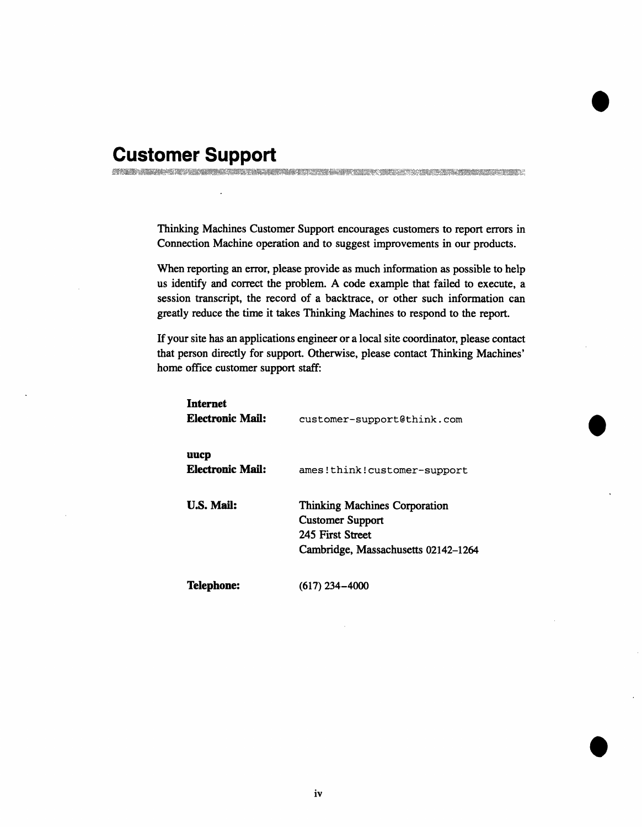### **Customer Support** A 1980 MINUTE A LONDON DE L'ANGUERRE DE L'ANGUERRE ANNE CONTRA MINUTE DE L'ANGUERRE DE L'ANGUERRE L'

Thinking Machines Customer Support encourages customers to report errors in Connection Machine operation and to suggest improvements in our products.

When reporting an error, please provide as much information as possible to help us identify and correct the problem. A code example that failed to execute, a session transcript, the record of a backtrace, or other such information can greatly reduce the time it takes Thinking Machines to respond to the report.

If your site has an applications engineer or a local site coordinator, please contact that person directly for support. Otherwise, please contact Thinking Machines' home office customer support staff:

| <b>Internet</b><br>Electronic Mail: | customer-support@think.com                                                                                          |
|-------------------------------------|---------------------------------------------------------------------------------------------------------------------|
| uucp<br>Electronic Mail:            | ames!think!customer-support                                                                                         |
| <b>U.S. Mail:</b>                   | Thinking Machines Corporation<br><b>Customer Support</b><br>245 First Street<br>Cambridge, Massachusetts 02142–1264 |
| <b>Telephone:</b>                   | $(617)$ 234-4000                                                                                                    |

**0**

**0**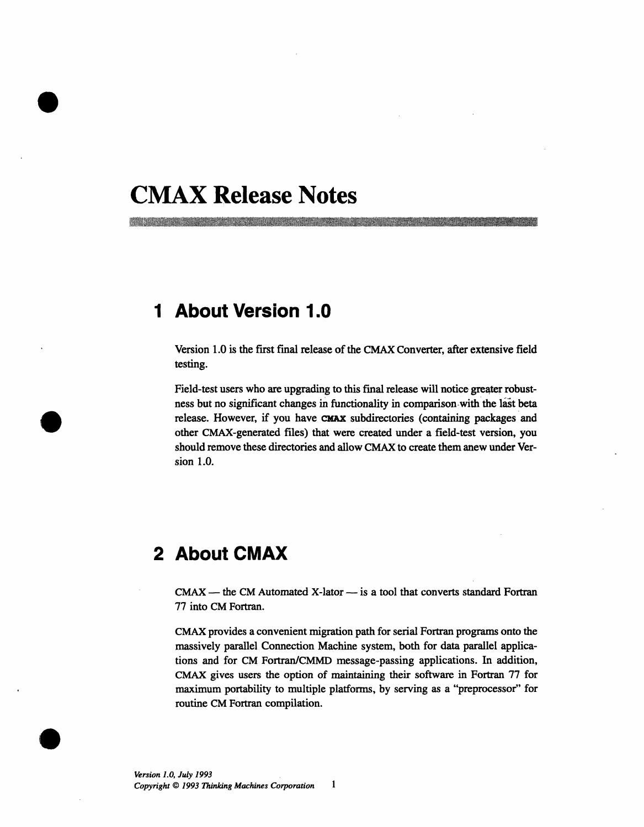# **CMAX Release Notes**

<u>The second complete the contract of the contract of the contract of the contract of the contract of the contract of the contract of the contract of the contract of the contract of the contract of the contract of the contr</u>

## **1 About Version 1.0**

Version 1.0 is the first final release of the CMAX Converter, after extensive field testing.

Field-test users who are upgrading to this final release will notice greater robustness but no significant changes in functionality in comparison with the last beta release. However, if you have CMAX subdirectories (containing packages and other CMAX-generated files) that were created under a field-test version, you should remove these directories and allow CMAX to create them anew under Version 1.0.

# **2 About CMAX**

 $CMAX$  — the CM Automated X-lator — is a tool that converts standard Fortran 77 into CM Fortran.

CMAX provides a convenient migration path for serial Fortran programs onto the massively parallel Connection Machine system, both for data parallel applications and for CM Fortran/CMMD message-passing applications. In addition, CMAX gives users the option of maintaining their software in Fortran 77 for maximum portability to multiple platforms, by serving as a "preprocessor" for routine CM Fortran compilation.

*0*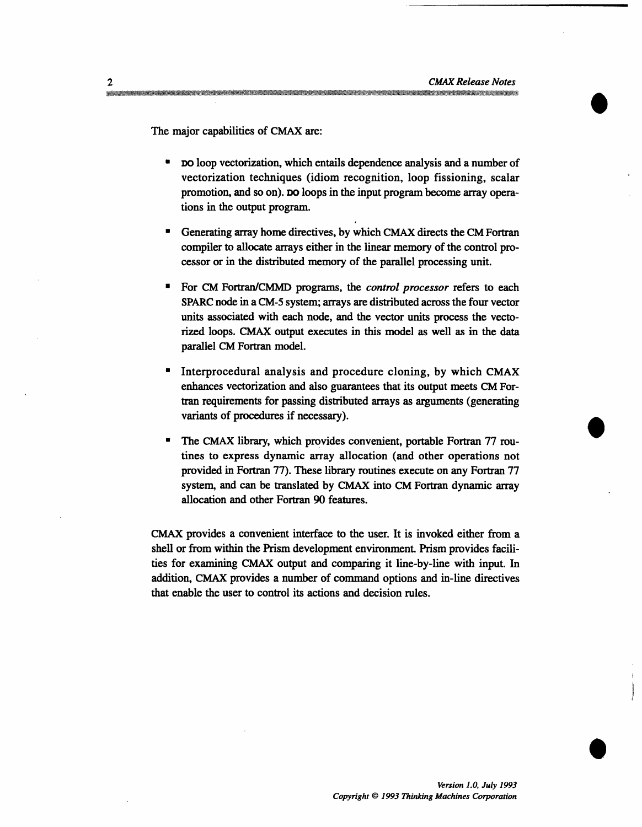The major capabilities of CMAX are:

- **\*** Do loop vectorization, which entails dependence analysis and a number of vectorization techniques (idiom recognition, loop fissioning, scalar promotion, and so on). Do loops in the input program become array operations in the output program.
- Generating array home directives, by which CMAX directs the CM Fortran compiler to allocate arrays either in the linear memory of the control processor or in the distributed memory of the parallel processing unit.
- \* For CM Fortran/CMMD programs, the *control processor* refers to each SPARC node in a CM-5 system; arrays are distributed across the four vector units associated with each node, and the vector units process the vectorized loops. CMAX output executes in this model as well as in the data parallel CM Fortran model.
- Interprocedural analysis and procedure cloning, by which CMAX enhances vectorization and also guarantees that its output meets CM Fortran requirements for passing distributed arrays as arguments (generating variants of procedures if necessary).
- The CMAX library, which provides convenient, portable Fortran 77 routines to express dynamic array allocation (and other operations not provided in Fortran 77). These library routines execute on any Fortran 77 system, and can be translated by CMAX into CM Fortran dynamic array allocation and other Fortran 90 features.

CMAX provides a convenient interface to the user. It is invoked either from a shell or from within the Prism development environment. Prism provides facilities for examining CMAX output and comparing it line-by-line with input. In addition, CMAX provides a number of command options and in-line directives that enable the user to control its actions and decision rules.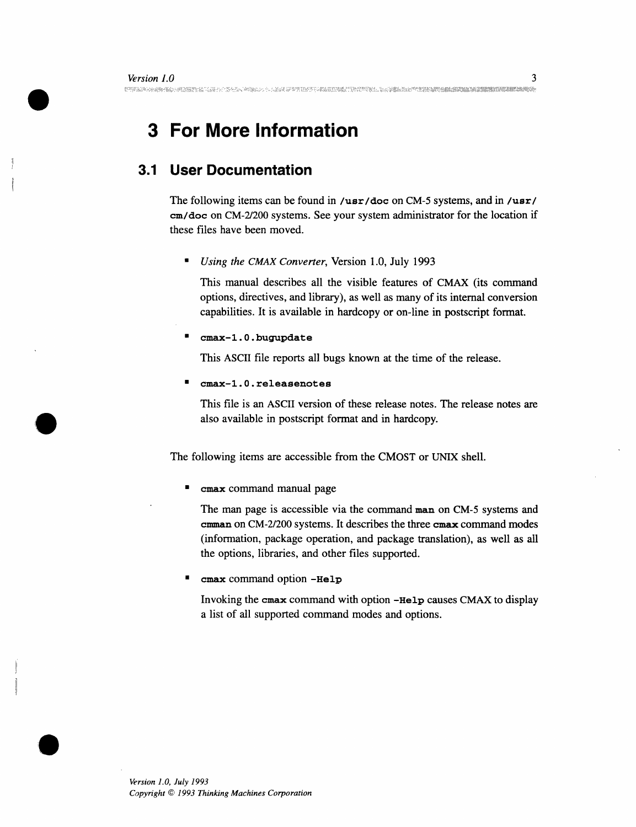# **3 For More Information**

## **3.1 User Documentation**

The following items can be found in /usr/doc on CM-5 systems, and in /usr/ cm/doc on CM-2/200 systems. See your system administrator for the location if these files have been moved.

*Using the CMAX Converter, Version 1.0, July 1993* 

This manual describes all the visible features of CMAX (its command options, directives, and library), as well as many of its internal conversion capabilities. It is available in hardcopy or on-line in postscript format.

\* **cmax-1.0.bugupdate**

This ASCII file reports all bugs known at the time of the release.

\* **cmax-1.0.releasenotes**

This file is an ASCII version of these release notes. The release notes are also available in postscript format and in hardcopy.

The following items are accessible from the CMOST or UNIX shell.

cmax command manual page

The man page is accessible via the command **man** on CM-5 systems and **cmman** on CM-2/200 systems. It describes the three cmax command modes (information, package operation, and package translation), as well as all the options, libraries, and other files supported.

cmax command option -Help

Invoking the cmax command with option **-Help** causes CMAX to display a list of all supported command modes and options.

: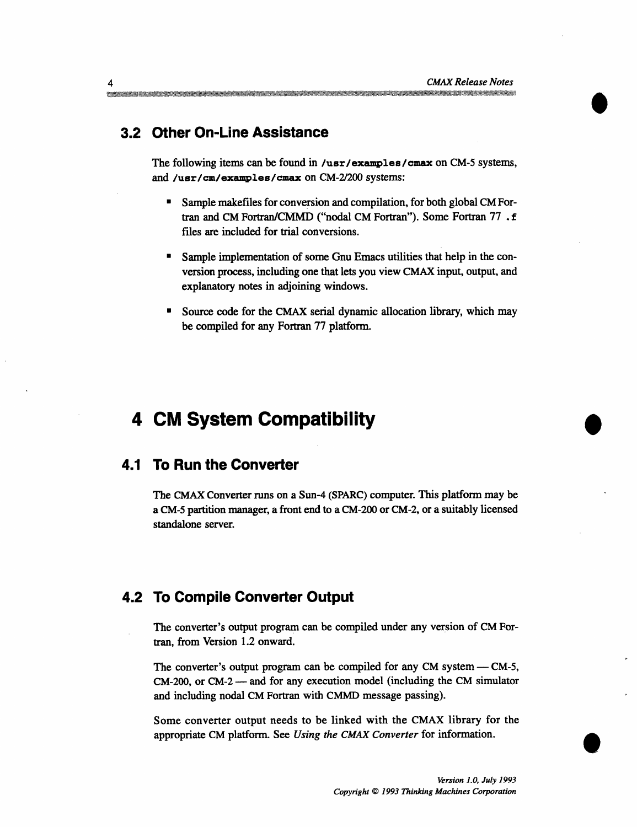### **3.2 Other On-Line Assistance**

The following items can be found in /usr/examples/cmax on CM-5 systems, and **/usr/cm/examples/cmax** on CM-2/200 systems:

- \* Sample makefiles for conversion and compilation, for both global CM Fortran and CM Fortran/CMMD ("nodal CM Fortran"). Some Fortran 77 .f files are included for trial conversions.
- Sample implementation of some Gnu Emacs utilities that help in the conversion process, including one that lets you view CMAX input, output, and explanatory notes in adjoining windows.
- Source code for the CMAX serial dynamic allocation library, which may be compiled for any Fortran 77 platform.

## **4 CM System Compatibility**

#### **4.1 To Run the Converter**

The CMAX Converter runs on a Sun-4 (SPARC) computer. This platform may be a CM-5 partition manager, a front end to a CM-200 or CM-2, or a suitably licensed standalone server.

#### **4.2 To Compile Converter Output**

The converter's output program can be compiled under any version of CM Fortran, from Version 1.2 onward.

The converter's output program can be compiled for any CM system - CM-5, CM-200, or CM-2 - and for any execution model (including the CM simulator and including nodal CM Fortran with CMMD message passing).

Some converter output needs to be linked with the CMAX library for the appropriate CM platform. See *Using the CMAX Converter* for information.